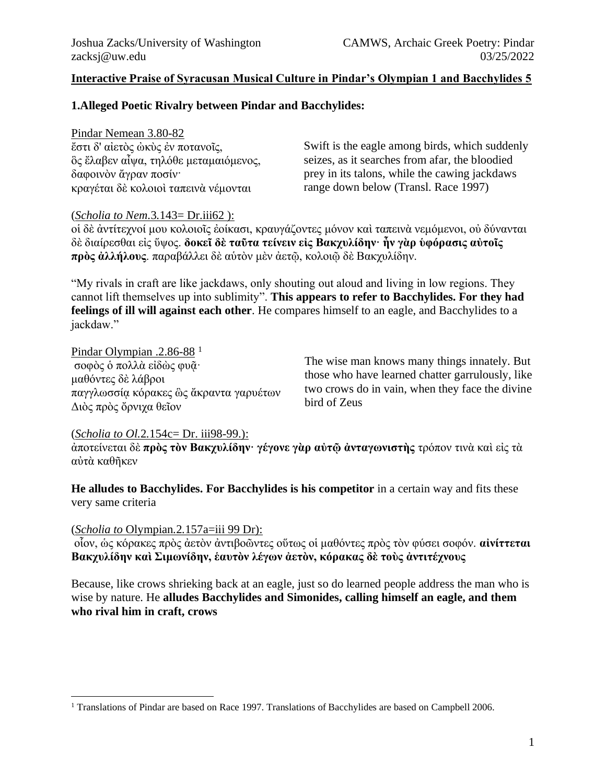#### **Interactive Praise of Syracusan Musical Culture in Pindar's Olympian 1 and Bacchylides 5**

# **1.Alleged Poetic Rivalry between Pindar and Bacchylides:**

Pindar Nemean 3.80-82 ἔστι δ' αἰετὸς ὠκὺς ἐν ποτανοῖς, ὃς ἔλαβεν αἶψα, τηλόθε μεταμαιόμενος, δαφοινὸν ἄγραν ποσίν· κραγέται δὲ κολοιοὶ ταπεινὰ νέμονται

Swift is the eagle among birds, which suddenly seizes, as it searches from afar, the bloodied prey in its talons, while the cawing jackdaws range down below (Transl. Race 1997)

#### (*Scholia to Nem.*3*.*143= Dr.iii62 ):

οἱ δὲ ἀντίτεχνοί μου κολοιοῖς ἐοίκασι, κραυγάζοντες μόνον καὶ ταπεινὰ νεμόμενοι, οὐ δύνανται δὲ διαίρεσθαι εἰς ὕψος. **δοκεῖ δὲ ταῦτα τείνειν εἰς Βακχυλίδην· ἦν γὰρ ὑφόρασις αὐτοῖς πρὸς ἀλλήλους**. παραβάλλει δὲ αὑτὸν μὲν ἀετῷ, κολοιῷ δὲ Βακχυλίδην.

"My rivals in craft are like jackdaws, only shouting out aloud and living in low regions. They cannot lift themselves up into sublimity". **This appears to refer to Bacchylides. For they had feelings of ill will against each other**. He compares himself to an eagle, and Bacchylides to a jackdaw."

Pindar Olympian .2.86-88<sup>1</sup> σοφὸς ὁ πολλὰ εἰδὼς φυᾶ· μαθόντες δὲ λάβροι παγγλωσσίᾳ κόρακες ὣς ἄκραντα γαρυέτων Διὸς πρὸς ὄρνιχα θεῖον

The wise man knows many things innately. But those who have learned chatter garrulously, like two crows do in vain, when they face the divine bird of Zeus

#### (*Scholia to Ol.*2*.*154c= Dr. iii98-99.):

ἀποτείνεται δὲ **πρὸς τὸν Βακχυλίδην· γέγονε γὰρ αὐτῷ ἀνταγωνιστὴς** τρόπον τινὰ καὶ εἰς τὰ αὐτὰ καθῆκεν

**He alludes to Bacchylides. For Bacchylides is his competitor** in a certain way and fits these very same criteria

#### (*Scholia to* Olympian*.*2*.*157a=iii 99 Dr):

οἷον, ὡς κόρακες πρὸς ἀετὸν ἀντιβοῶντες οὕτως οἱ μαθόντες πρὸς τὸν φύσει σοφόν. **αἰνίττεται Βακχυλίδην καὶ Σιμωνίδην, ἑαυτὸν λέγων ἀετὸν, κόρακας δὲ τοὺς ἀντιτέχνους**

Because, like crows shrieking back at an eagle, just so do learned people address the man who is wise by nature. He **alludes Bacchylides and Simonides, calling himself an eagle, and them who rival him in craft, crows**

<sup>&</sup>lt;sup>1</sup> Translations of Pindar are based on Race 1997. Translations of Bacchylides are based on Campbell 2006.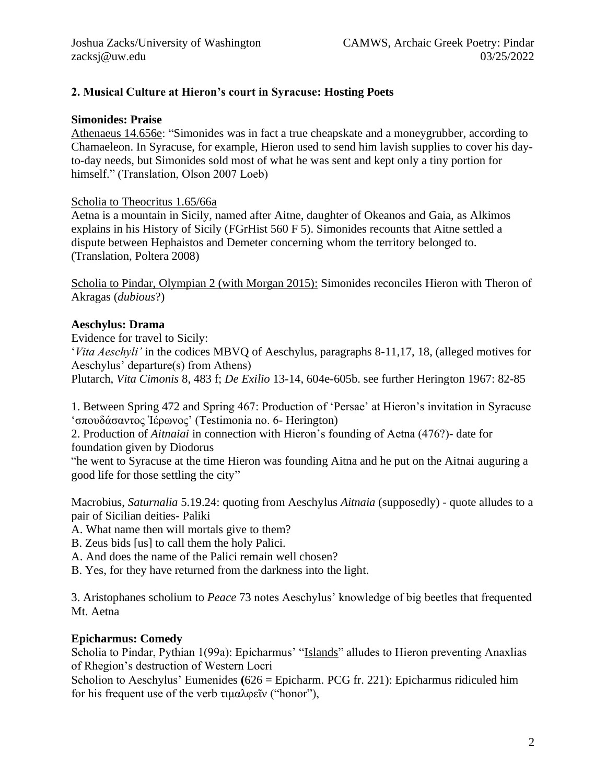# **2. Musical Culture at Hieron's court in Syracuse: Hosting Poets**

#### **Simonides: Praise**

Athenaeus 14.656e: "Simonides was in fact a true cheapskate and a moneygrubber, according to Chamaeleon. In Syracuse, for example, Hieron used to send him lavish supplies to cover his dayto-day needs, but Simonides sold most of what he was sent and kept only a tiny portion for himself." (Translation, Olson 2007 Loeb)

#### Scholia to Theocritus 1.65/66a

Aetna is a mountain in Sicily, named after Aitne, daughter of Okeanos and Gaia, as Alkimos explains in his History of Sicily (FGrHist 560 F 5). Simonides recounts that Aitne settled a dispute between Hephaistos and Demeter concerning whom the territory belonged to. (Translation, Poltera 2008)

Scholia to Pindar, Olympian 2 (with Morgan 2015): Simonides reconciles Hieron with Theron of Akragas (*dubious*?)

#### **Aeschylus: Drama**

Evidence for travel to Sicily:

'*Vita Aeschyli'* in the codices MBVQ of Aeschylus, paragraphs 8-11,17, 18, (alleged motives for Aeschylus' departure(s) from Athens)

Plutarch, *Vita Cimonis* 8, 483 f; *De Exilio* 13-14, 604e-605b. see further Herington 1967: 82-85

1. Between Spring 472 and Spring 467: Production of 'Persae' at Hieron's invitation in Syracuse 'σπουδάσαντος Ἱέρωνος' (Testimonia no. 6- Herington)

2. Production of *Aitnaiai* in connection with Hieron's founding of Aetna (476?)- date for foundation given by Diodorus

"he went to Syracuse at the time Hieron was founding Aitna and he put on the Aitnai auguring a good life for those settling the city"

Macrobius, *Saturnalia* 5.19.24: quoting from Aeschylus *Aitnaia* (supposedly) - quote alludes to a pair of Sicilian deities- Paliki

A. What name then will mortals give to them?

B. Zeus bids [us] to call them the holy Palici.

A. And does the name of the Palici remain well chosen?

B. Yes, for they have returned from the darkness into the light.

3. Aristophanes scholium to *Peace* 73 notes Aeschylus' knowledge of big beetles that frequented Mt. Aetna

#### **Epicharmus: Comedy**

Scholia to Pindar, Pythian 1(99a): Epicharmus' "Islands" alludes to Hieron preventing Anaxlias of Rhegion's destruction of Western Locri

Scholion to Aeschylus' Eumenides **(**626 = Epicharm. PCG fr. 221): Epicharmus ridiculed him for his frequent use of the verb τιμαλφεῖν ("honor"),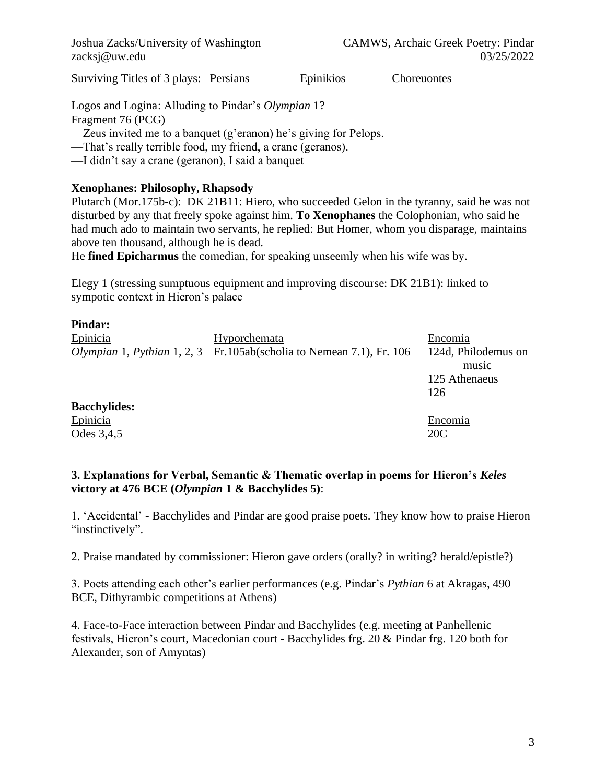Surviving Titles of 3 plays: Persians Epinikios Choreuontes

Logos and Logina: Alluding to Pindar's *Olympian* 1?

Fragment 76 (PCG)

—Zeus invited me to a banquet (g'eranon) he's giving for Pelops.

—That's really terrible food, my friend, a crane (geranos).

—I didn't say a crane (geranon), I said a banquet

# **Xenophanes: Philosophy, Rhapsody**

Plutarch (Mor.175b-c): DK 21B11: Hiero, who succeeded Gelon in the tyranny, said he was not disturbed by any that freely spoke against him. **To Xenophanes** the Colophonian, who said he had much ado to maintain two servants, he replied: But Homer, whom you disparage, maintains above ten thousand, although he is dead.

He **fined Epicharmus** the comedian, for speaking unseemly when his wife was by.

Elegy 1 (stressing sumptuous equipment and improving discourse: DK 21B1): linked to sympotic context in Hieron's palace

| <b>Pindar:</b>      |                                                                                    |                     |
|---------------------|------------------------------------------------------------------------------------|---------------------|
| Epinicia            | Hyporchemata                                                                       | Encomia             |
|                     | <i>Olympian</i> 1, <i>Pythian</i> 1, 2, 3 Fr.105ab(scholia to Nemean 7.1), Fr. 106 | 124d, Philodemus on |
|                     |                                                                                    | music               |
|                     |                                                                                    | 125 Athenaeus       |
|                     |                                                                                    | 126                 |
| <b>Bacchylides:</b> |                                                                                    |                     |
| Epinicia            |                                                                                    | Encomia             |
| Odes 3,4,5          |                                                                                    | 20C                 |

# **3. Explanations for Verbal, Semantic & Thematic overlap in poems for Hieron's** *Keles* **victory at 476 BCE (***Olympian* **1 & Bacchylides 5)**:

1. 'Accidental' - Bacchylides and Pindar are good praise poets. They know how to praise Hieron "instinctively".

2. Praise mandated by commissioner: Hieron gave orders (orally? in writing? herald/epistle?)

3. Poets attending each other's earlier performances (e.g. Pindar's *Pythian* 6 at Akragas, 490 BCE, Dithyrambic competitions at Athens)

4. Face-to-Face interaction between Pindar and Bacchylides (e.g. meeting at Panhellenic festivals, Hieron's court, Macedonian court - Bacchylides frg. 20 & Pindar frg. 120 both for Alexander, son of Amyntas)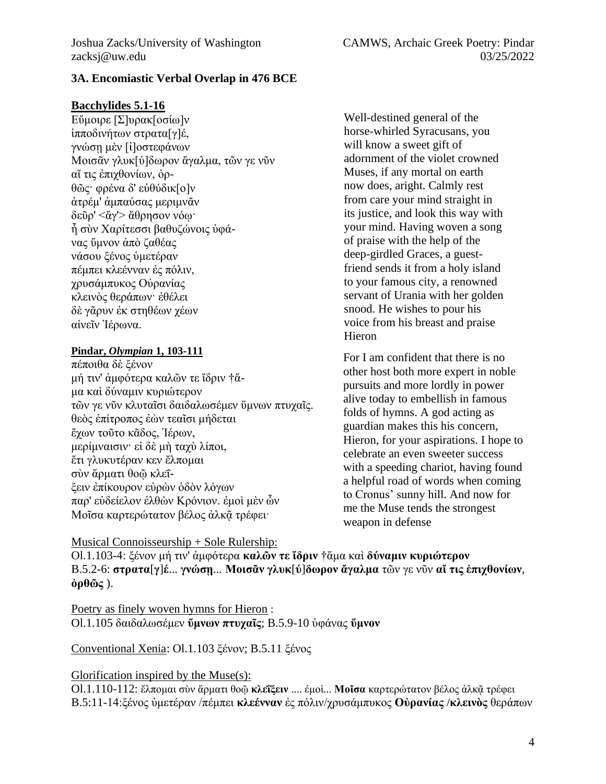# **3A. Encomiastic Verbal Overlap in 476 BCE**

# **Bacchylides 5.1-16**

Εὔμοιρε [Σ]υρακ[οσίω]ν ἱπποδινήτων στρατα[γ]έ, γνώσῃ μὲν [ἰ]οστεφάνων Μοισᾶν γλυκ[ύ]δωρον ἄγαλμα, τῶν γε νῦν αἴ τις ἐπιχθονίων, ὀρθῶς· φρένα δ' εὐθύδικ[ο]ν ἀτρέμ' ἀμπαύσας μεριμνᾶν δεῦρ' <ἄγ'> ἄθρησον νόῳ· ἦ σὺν Χαρίτεσσι βαθυζώνοις ὑφάνας ὕμνον ἀπὸ ζαθέας νάσου ξένος ὑμετέραν πέμπει κλεένναν ἐς πόλιν, χρυσάμπυκος Οὐρανίας κλεινὸς θεράπων· ἐθέλει δὲ γᾶρυν ἐκ στηθέων χέων αἰνεῖν Ἱέρωνα.

# **Pindar,** *Olympian* **1, 103-111**

πέποιθα δὲ ξένον μή τιν' ἀμφότερα καλῶν τε ἴδριν †ἅμα καὶ δύναμιν κυριώτερον τῶν γε νῦν κλυταῖσι δαιδαλωσέμεν ὕμνων πτυχαῖς. θεὸς ἐπίτροπος ἐὼν τεαῖσι μήδεται ἔχων τοῦτο κᾶδος, Ἱέρων, μερίμναισιν· εἰ δὲ μὴ ταχὺ λίποι, ἔτι γλυκυτέραν κεν ἔλπομαι σὺν ἅρματι θοῷ κλεΐξειν ἐπίκουρον εὑρὼν ὁδὸν λόγων παρ' εὐδείελον ἐλθὼν Κρόνιον. ἐμοὶ μὲν ὦν Μοΐσα καρτερώτατον βέλος άλκᾶ τρέφει·

Well-destined general of the horse-whirled Syracusans, you will know a sweet gift of adornment of the violet crowned Muses, if any mortal on earth now does, aright. Calmly rest from care your mind straight in its justice, and look this way with your mind. Having woven a song of praise with the help of the deep-girdled Graces, a guestfriend sends it from a holy island to your famous city, a renowned servant of Urania with her golden snood. He wishes to pour his voice from his breast and praise Hieron

For I am confident that there is no other host both more expert in noble pursuits and more lordly in power alive today to embellish in famous folds of hymns. A god acting as guardian makes this his concern, Hieron, for your aspirations. I hope to celebrate an even sweeter success with a speeding chariot, having found a helpful road of words when coming to Cronus' sunny hill. And now for me the Muse tends the strongest weapon in defense

#### Musical Connoisseurship + Sole Rulership:

Ol.1.103-4: ξένον μή τιν' ἀμφότερα **καλῶν τε ἴδριν** †ἅμα καὶ **δύναμιν κυριώτερον** B.5.2-6: **στρατα**[**γ**]**έ**... **γνώσῃ**... **Μοισᾶν γλυκ**[**ύ**]**δωρον ἄγαλμα** τῶν γε νῦν **αἴ τις ἐπιχθονίων**, **ὀρθῶς** ).

Poetry as finely woven hymns for Hieron : Ol.1.105 δαιδαλωσέμεν **ὕμνων πτυχαῖς**; B.5.9-10 ὑφάνας **ὕμνον**

Conventional Xenia: Ol.1.103 ξένον; B.5.11 ξένος

# Glorification inspired by the Muse(s):

Ol.1.110-112: ἔλπομαι σὺν ἅρματι θοῷ **κλεΐξειν** .... ἐμοὶ... **Μοῖσα** καρτερώτατον βέλος ἀλκᾷ τρέφει B.5:11-14:ξένος ὑμετέραν /πέμπει **κλεένναν** ἐς πόλιν/χρυσάμπυκος **Οὐρανίας** /**κλεινὸς** θεράπων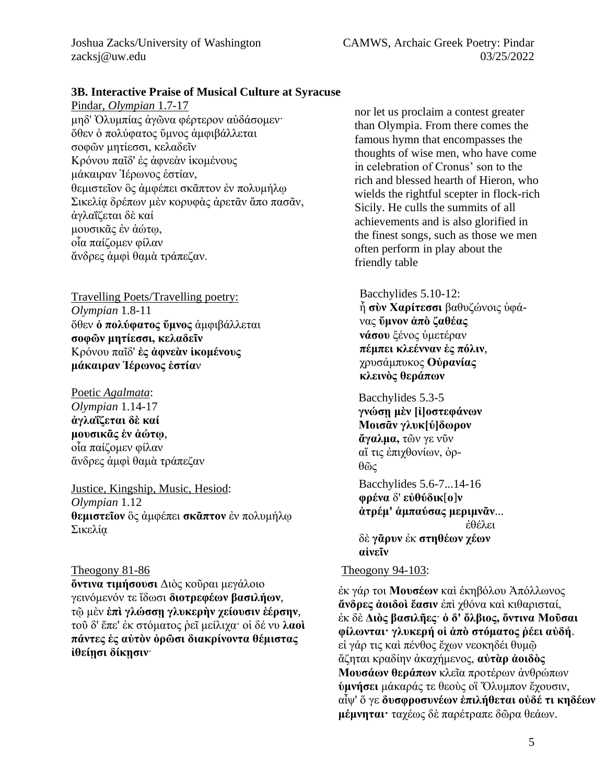# **3B. Interactive Praise of Musical Culture at Syracuse**

Pindar, *Olympian* 1.7-17 μηδ' Ὀλυμπίας ἀγῶνα φέρτερον αὐδάσομεν· ὅθεν ὁ πολύφατος ὕμνος ἀμφιβάλλεται σοφῶν μητίεσσι, κελαδεῖν Κρόνου παῖδ' ἐς ἀφνεὰν ἱκομένους μάκαιραν Ἱέρωνος ἑστίαν, θεμιστεῖον ὃς ἀμφέπει σκᾶπτον ἐν πολυμήλῳ Σικελίᾳ δρέπων μὲν κορυφὰς ἀρετᾶν ἄπο πασᾶν, ἀγλαΐζεται δὲ καί μουσικᾶς ἐν ἀώτῳ, οἷα παίζομεν φίλαν ἄνδρες ἀμφὶ θαμὰ τράπεζαν.

Travelling Poets/Travelling poetry: *Olympian* 1.8-11 ὅθεν **ὁ πολύφατος ὕμνος** ἀμφιβάλλεται **σοφῶν μητίεσσι, κελαδεῖν**  Κρόνου παῖδ' **ἐς ἀφνεὰν ἱκομένους μάκαιραν Ἱέρωνος ἑστία**ν

Poetic *Agalmata*: *Olympian* 1.14-17 **ἀγλαΐζεται δὲ καί μουσικᾶς ἐν ἀώτῳ**, οἷα παίζομεν φίλαν ἄνδρες ἀμφὶ θαμὰ τράπεζαν

Justice, Kingship, Music, Hesiod: *Olympian* 1.12 **θεμιστεῖον** ὃς ἀμφέπει **σκᾶπτον** ἐν πολυμήλῳ Σικελίᾳ

**ὅντινα τιμήσουσι** Διὸς κοῦραι μεγάλοιο γεινόμενόν τε ἴδωσι **διοτρεφέων βασιλήων**, τῷ μὲν **ἐπὶ γλώσσῃ γλυκερὴν χείουσιν ἐέρσην**, τοῦ δ' ἔπε' ἐκ στόματος ῥεῖ μείλιχα· οἱ δέ νυ **λαοὶ πάντες ἐς αὐτὸν ὁρῶσι διακρίνοντα θέμιστας ἰθείῃσι δίκῃσιν**·

nor let us proclaim a contest greater than Olympia. From there comes the famous hymn that encompasses the thoughts of wise men, who have come in celebration of Cronus' son to the rich and blessed hearth of Hieron, who wields the rightful scepter in flock-rich Sicily. He culls the summits of all achievements and is also glorified in the finest songs, such as those we men often perform in play about the friendly table

Bacchylides 5.10-12: ἦ **σὺν Χαρίτεσσι** βαθυζώνοις ὑφάνας **ὕμνον ἀπὸ ζαθέας νάσου** ξένος ὑμετέραν **πέμπει κλεένναν ἐς πόλιν**, χρυσάμπυκος **Οὐρανίας κλεινὸς θεράπων**

Bacchylides 5.3-5 **γνώσῃ μὲν [ἰ]οστεφάνων Μοισᾶν γλυκ[ύ]δωρον ἄγαλμα,** τῶν γε νῦν αἴ τις ἐπιχθονίων, ὀρθῶς

Bacchylides 5.6-7...14-16 **φρένα** δ' **εὐθύδικ**[**ο**]**ν ἀτρέμ' ἀμπαύσας μεριμνᾶν**... ἐθέλει δὲ **γᾶρυν** ἐκ **στηθέων χέων αἰνεῖν**

# $Theogony 81-86$  Theogony 94-103:

ἐκ γάρ τοι **Μουσέων** καὶ ἑκηβόλου Ἀπόλλωνος **ἄνδρες ἀοιδοὶ ἔασιν** ἐπὶ χθόνα καὶ κιθαρισταί, ἐκ δὲ **Διὸς βασιλῆες**· **ὁ δ' ὄλβιος, ὅντινα Μοῦσαι φίλωνται· γλυκερή οἱ ἀπὸ στόματος ῥέει αὐδή**. εἰ γάρ τις καὶ πένθος ἔχων νεοκηδέι θυμῷ ἄζηται κραδίην ἀκαχήμενος, **αὐτὰρ ἀοιδὸς Μουσάων θεράπων** κλεῖα προτέρων ἀνθρώπων **ὑμνήσει** μάκαράς τε θεοὺς οἳ Ὄλυμπον ἔχουσιν, αἶψ' ὅ γε **δυσφροσυνέων ἐπιλήθεται οὐδέ τι κηδέων μέμνηται·** ταχέως δὲ παρέτραπε δῶρα θεάων.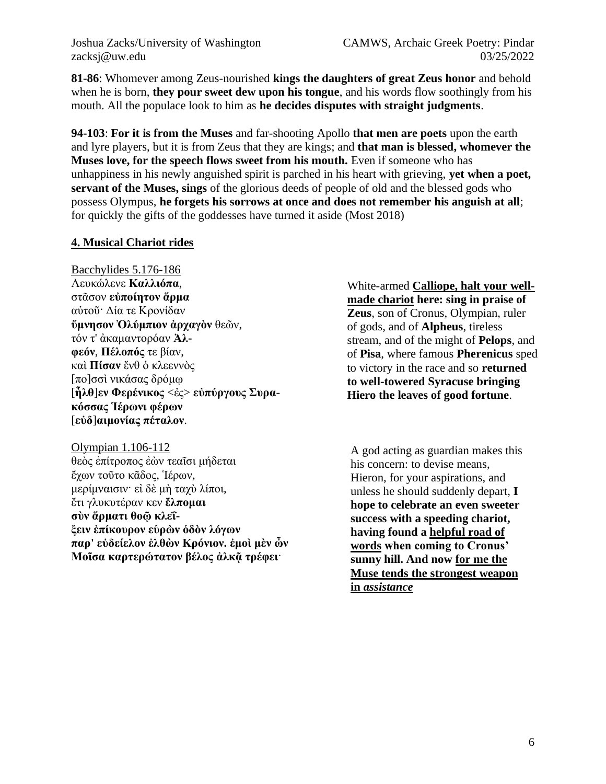Joshua Zacks/University of Washington CAMWS, Archaic Greek Poetry: Pindar zacksj@uw.edu 03/25/2022

**81-86**: Whomever among Zeus-nourished **kings the daughters of great Zeus honor** and behold when he is born, **they pour sweet dew upon his tongue**, and his words flow soothingly from his mouth. All the populace look to him as **he decides disputes with straight judgments**.

**94-103**: **For it is from the Muses** and far-shooting Apollo **that men are poets** upon the earth and lyre players, but it is from Zeus that they are kings; and **that man is blessed, whomever the Muses love, for the speech flows sweet from his mouth.** Even if someone who has unhappiness in his newly anguished spirit is parched in his heart with grieving, **yet when a poet, servant of the Muses, sings** of the glorious deeds of people of old and the blessed gods who possess Olympus, **he forgets his sorrows at once and does not remember his anguish at all**; for quickly the gifts of the goddesses have turned it aside (Most 2018)

# **4. Musical Chariot rides**

Bacchylides 5.176-186 Λευκώλενε **Καλλιόπα**, στᾶσον **εὐποίητον ἅρμα** αὐτοῦ· Δία τε Κρονίδαν **ὕμνησον Ὀλύμπιον ἀρχαγὸν** θεῶν, τόν τ' ἀκαμαντορόαν **Ἀλφεόν**, **Πέλοπός** τε βίαν, καὶ **Πίσαν** ἔνθ ὁ κλεεννὸς [πο]σσὶ νικάσας δρόμῳ [**ἦλθ**]**εν Φερένικος** <ἐς> **εὐπύργους Συρακόσσας Ἱέρωνι φέρων** [**εὐδ**]**αιμονίας πέταλον**.

Olympian 1.106-112 θεὸς ἐπίτροπος ἐὼν τεαῖσι μήδεται ἔχων τοῦτο κᾶδος, Ἱέρων, μερίμναισιν· εἰ δὲ μὴ ταχὺ λίποι, ἔτι γλυκυτέραν κεν **ἔλπομαι σὺν ἅρματι θοῷ κλεΐξειν ἐπίκουρον εὑρὼν ὁδὸν λόγων παρ' εὐδείελον ἐλθὼν Κρόνιον. ἐμοὶ μὲν ὦν Μοῖσα καρτερώτατον βέλος ἀλκᾷ τρέφει**·

White-armed **Calliope, halt your wellmade chariot here: sing in praise of Zeus**, son of Cronus, Olympian, ruler of gods, and of **Alpheus**, tireless stream, and of the might of **Pelops**, and of **Pisa**, where famous **Pherenicus** sped to victory in the race and so **returned to well-towered Syracuse bringing Hiero the leaves of good fortune**.

A god acting as guardian makes this his concern: to devise means, Hieron, for your aspirations, and unless he should suddenly depart, **I hope to celebrate an even sweeter success with a speeding chariot, having found a helpful road of words when coming to Cronus' sunny hill. And now for me the Muse tends the strongest weapon in** *assistance*